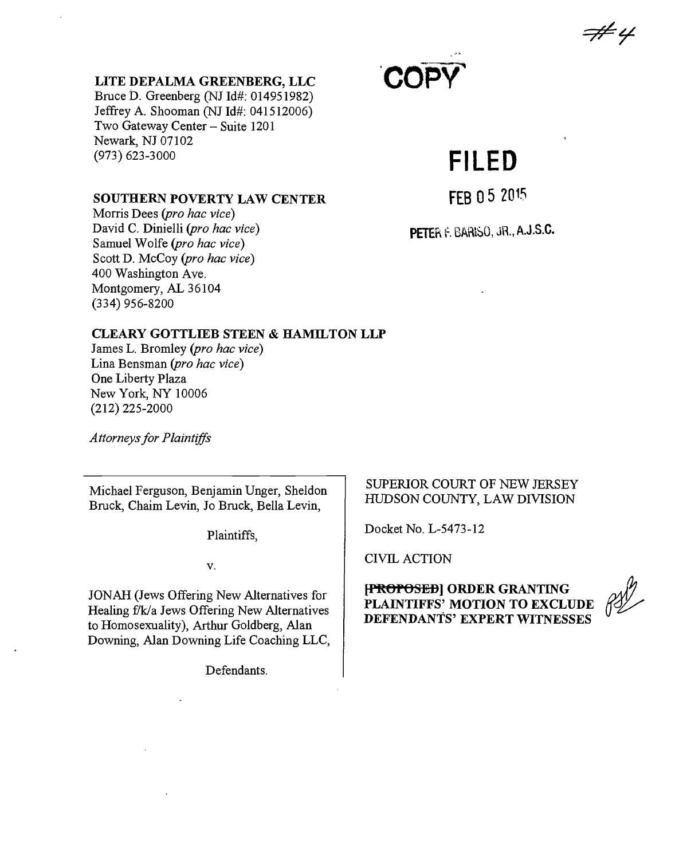F# 4

#### **LITE DEPALMA GREENBERG, LLC**

Bruce D. Greenberg **(NJ Id#: 014951982)** Jeffrey **A.** Shooman **(NJ Id#:** 041512006) Two Gateway Center **-** Suite 1201 Newark, **NJ 07102 (973) 623-3000**

# **'COPY**

# **FILED**

#### **SOUTHERN POVERTY LAW CENTER**

Morris Dees *(pro hac vice)* David **C.** Dinielli *(pro hac vice)* Samuel Wolfe *(pro hac vice)* Scott **D.** McCoy *(pro hac vice)* 400 Washington Ave. Montgomery, **AL** 36104 (334) **956-8200**

**FEB 05 201.5**

PETER F. BARISO, JR., A.J.S.C.

#### **CLEARY GOTTLIEB STEEN & HAMILTON LLP**

James L. Bromley *(pro hac vice)* Lina Bensman *(pro hac vice)* One Liberty Plaza New York, NY **10006** (212) **225-2000**

*A ttorneys for Plaintiffs*

Michael Ferguson, Benjamin Unger, Sheldon Bruck, Chaim Levin, Jo Bruck, Bella Levin,

Plaintiffs,

**V.**

**JONAH** (Jews Offering New Alternatives for Healing f'k/a Jews Offering New Alternatives to Homosexuality), Arthur Goldberg, Alan Downing, Alan Downing Life Coaching **LLC,**

Defendants.

# SUPERIOR **COURT** OF **NEW JERSEY HUJDSON COUNTY,** LAW **DIVISION**

Docket No, **L-5473-12**

CIVIL **ACTION**

**[PROPOSED] ORDER GRANTING PLAINTIFFS' MOTION TO EXCLUDE<br>DEFENDANTS' EXPERT WITNESSES**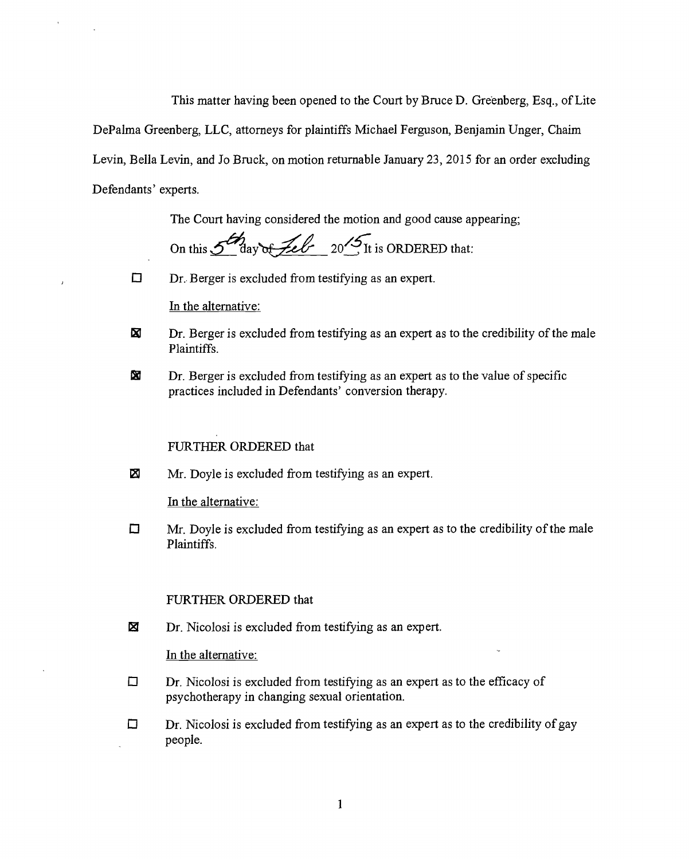This matter having been opened to the Court **by** Bruce **D.** Greenberg, Esq., of Lite

DePalma Greenberg, **LLC,** attorneys for plaintiffs Michael Ferguson, Benjamin Unger, Chaim Levin, Bella Levin, and Jo Bruck, on motion returnable January **23, 2015** for an order excluding Defendants' experts.

The Court having considered the motion and good cause appearing;

 $\frac{1}{5}$ On this *e day ,ee 20~* It is ORDERED that:

 $\Box$  Dr. Berger is excluded from testifying as an expert.

In the alternative:

- $\Xi$  Dr. Berger is excluded from testifying as an expert as to the credibility of the male Plaintiffs.
- **01** Dr. Berger is excluded from testifying as an expert as to the value of specific practices included in Defendants' conversion therapy.

# FURTHER ORDERED that

 $\mathbb{Z}$  Mr. Doyle is excluded from testifying as an expert.

In the alternative:

 $\Box$  Mr. Doyle is excluded from testifying as an expert as to the credibility of the male Plaintiffs.

### FURTHER ORDERED that

 $\boxtimes$  Dr. Nicolosi is excluded from testifying as an expert.

In the alternative:

- $\Box$  Dr. Nicolosi is excluded from testifying as an expert as to the efficacy of psychotherapy in changing sexual orientation.
- $\Box$  Dr. Nicolosi is excluded from testifying as an expert as to the credibility of gay people.